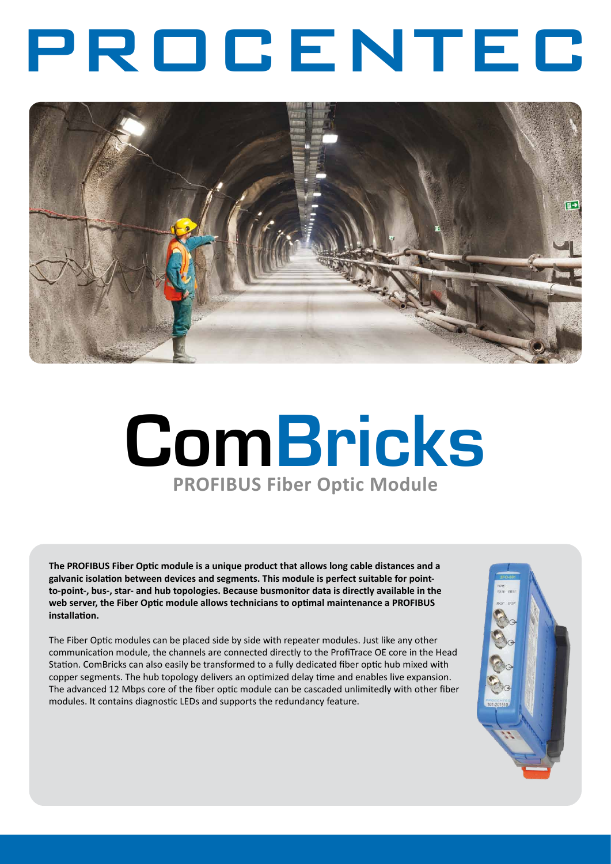# PROCENTEC



# **ComBricks PROFIBUS Fiber Optic Module**

**The PROFIBUS Fiber Optic module is a unique product that allows long cable distances and a galvanic isolation between devices and segments. This module is perfect suitable for pointto-point-, bus-, star- and hub topologies. Because busmonitor data is directly available in the web server, the Fiber Optic module allows technicians to optimal maintenance a PROFIBUS installation.**

The Fiber Optic modules can be placed side by side with repeater modules. Just like any other communication module, the channels are connected directly to the ProfiTrace OE core in the Head Station. ComBricks can also easily be transformed to a fully dedicated fiber optic hub mixed with copper segments. The hub topology delivers an optimized delay time and enables live expansion. The advanced 12 Mbps core of the fiber optic module can be cascaded unlimitedly with other fiber modules. It contains diagnostic LEDs and supports the redundancy feature.